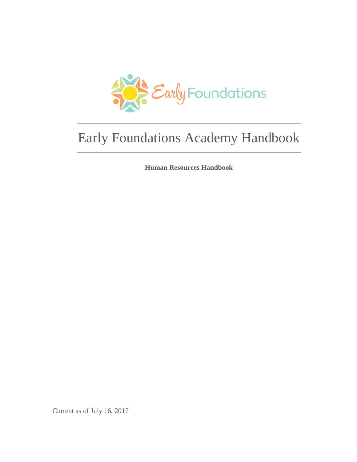

## Early Foundations Academy Handbook

**Human Resources Handbook**

Current as of July 16, 2017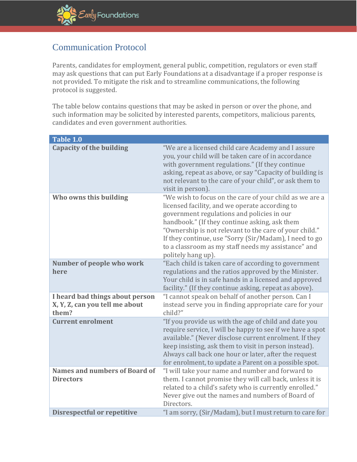## Communication Protocol

Parents, candidates for employment, general public, competition, regulators or even staff may ask questions that can put Early Foundations at a disadvantage if a proper response is not provided. To mitigate the risk and to streamline communications, the following protocol is suggested.

The table below contains questions that may be asked in person or over the phone, and such information may be solicited by interested parents, competitors, malicious parents, candidates and even government authorities.

| Table 1.0                                                                  |                                                                                                                                                                                                                                                                                                                                                                                                           |
|----------------------------------------------------------------------------|-----------------------------------------------------------------------------------------------------------------------------------------------------------------------------------------------------------------------------------------------------------------------------------------------------------------------------------------------------------------------------------------------------------|
| <b>Capacity of the building</b>                                            | "We are a licensed child care Academy and I assure<br>you, your child will be taken care of in accordance<br>with government regulations." (If they continue<br>asking, repeat as above, or say "Capacity of building is<br>not relevant to the care of your child", or ask them to<br>visit in person).                                                                                                  |
| Who owns this building                                                     | "We wish to focus on the care of your child as we are a<br>licensed facility, and we operate according to<br>government regulations and policies in our<br>handbook." (If they continue asking, ask them<br>"Ownership is not relevant to the care of your child."<br>If they continue, use "Sorry (Sir/Madam), I need to go<br>to a classroom as my staff needs my assistance" and<br>politely hang up). |
| Number of people who work<br>here                                          | "Each child is taken care of according to government<br>regulations and the ratios approved by the Minister.<br>Your child is in safe hands in a licensed and approved<br>facility." (If they continue asking, repeat as above).                                                                                                                                                                          |
| I heard bad things about person<br>X, Y, Z, can you tell me about<br>them? | "I cannot speak on behalf of another person. Can I<br>instead serve you in finding appropriate care for your<br>child?"                                                                                                                                                                                                                                                                                   |
| <b>Current enrolment</b>                                                   | "If you provide us with the age of child and date you<br>require service, I will be happy to see if we have a spot<br>available." (Never disclose current enrolment. If they<br>keep insisting, ask them to visit in person instead).<br>Always call back one hour or later, after the request<br>for enrolment, to update a Parent on a possible spot.                                                   |
| <b>Names and numbers of Board of</b>                                       | "I will take your name and number and forward to                                                                                                                                                                                                                                                                                                                                                          |
| <b>Directors</b>                                                           | them. I cannot promise they will call back, unless it is<br>related to a child's safety who is currently enrolled."<br>Never give out the names and numbers of Board of<br>Directors.                                                                                                                                                                                                                     |
| <b>Disrespectful or repetitive</b>                                         | "I am sorry, (Sir/Madam), but I must return to care for                                                                                                                                                                                                                                                                                                                                                   |